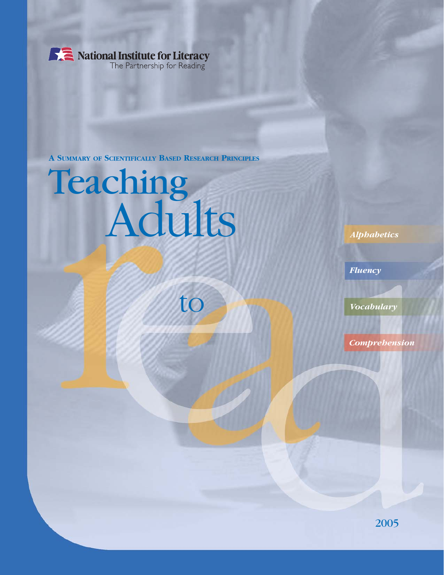

**A SUMMARY OF SCIENTIFICALLY BASED RESEARCH PRINCIPLES**

to

Teaching Adults *Alphabetics*

*Fluency*

*Vocabulary*

*Comprehension*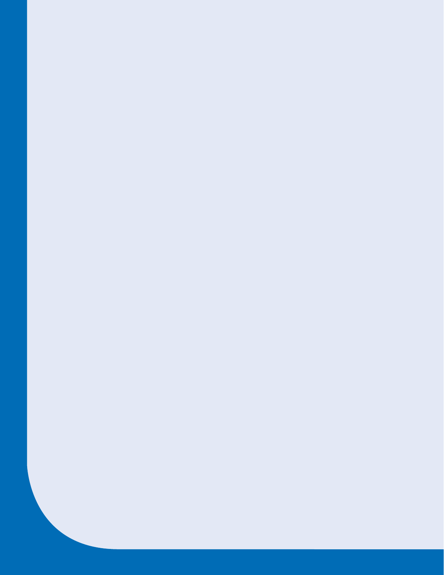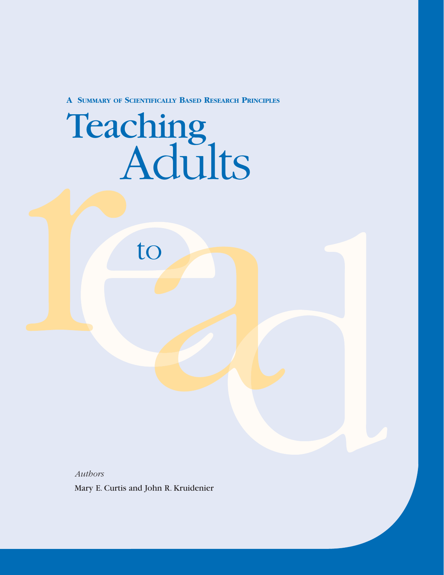**A SUMMARY OF SCIENTIFICALLY BASED RESEARCH PRINCIPLES**

# to Teaching Adults

*Authors*

Mary E. Curtis and John R. Kruidenier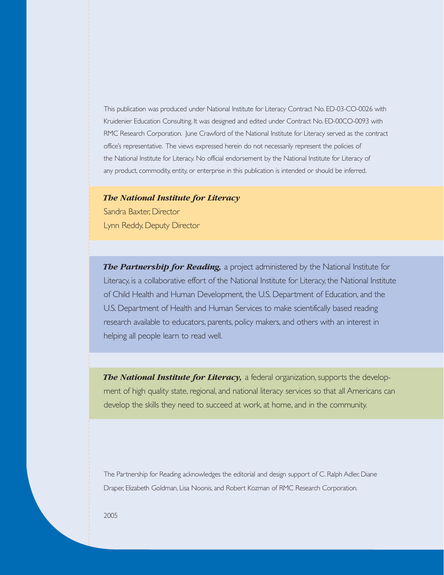This publication was produced under National Institute for Literacy Contract No. ED-03-CO-0026 with Kruidenier Education Consulting. It was designed and edited under Contract No. ED-00CO-0093 with RMC Research Corporation. June Crawford of the National Institute for Literacy served as the contract office's representative. The views expressed herein do not necessarily represent the policies of the National Institute for Literacy. No official endorsement by the National Institute for Literacy of any product, commodity, entity, or enterprise in this publication is intended or should be inferred.

### *The National Institute for Literacy*

Sandra Baxter, Director Lynn Reddy, Deputy Director

*The Partnership for Reading,* a project administered by the National Institute for Literacy, is a collaborative effort of the National Institute for Literacy, the National Institute of Child Health and Human Development, the U.S. Department of Education, and the U.S. Department of Health and Human Services to make scientifically based reading research available to educators, parents, policy makers, and others with an interest in helping all people learn to read well.

*The National Institute for Literacy,* a federal organization, supports the development of high quality state, regional, and national literacy services so that all Americans can develop the skills they need to succeed at work, at home, and in the community.

The Partnership for Reading acknowledges the editorial and design support of C. Ralph Adler, Diane Draper, Elizabeth Goldman, Lisa Noonis, and Robert Kozman of RMC Research Corporation.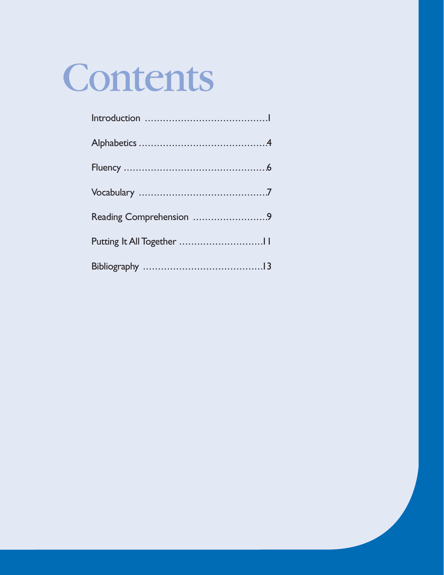## Contents

| Reading Comprehension 9 |
|-------------------------|
|                         |
|                         |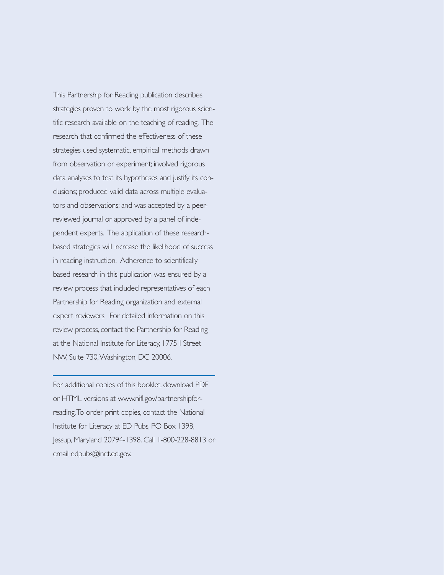This Partnership for Reading publication describes strategies proven to work by the most rigorous scientific research available on the teaching of reading. The research that confirmed the effectiveness of these strategies used systematic, empirical methods drawn from observation or experiment; involved rigorous data analyses to test its hypotheses and justify its conclusions; produced valid data across multiple evaluators and observations; and was accepted by a peerreviewed journal or approved by a panel of independent experts. The application of these researchbased strategies will increase the likelihood of success in reading instruction. Adherence to scientifically based research in this publication was ensured by a review process that included representatives of each Partnership for Reading organization and external expert reviewers. For detailed information on this review process, contact the Partnership for Reading at the National Institute for Literacy, 1775 I Street NW, Suite 730,Washington, DC 20006.

For additional copies of this booklet, download PDF or HTML versions at www.nifl.gov/partnershipforreading.To order print copies, contact the National Institute for Literacy at ED Pubs, PO Box 1398, Jessup, Maryland 20794-1398. Call 1-800-228-8813 or email edpubs@inet.ed.gov.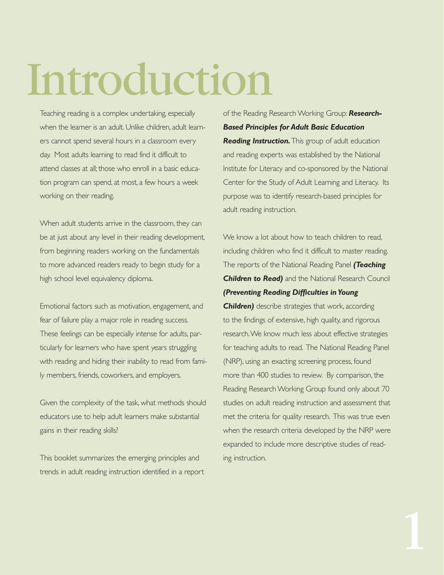# Introduction

Teaching reading is a complex undertaking, especially when the learner is an adult. Unlike children, adult learners cannot spend several hours in a classroom every day. Most adults learning to read find it difficult to attend classes at all; those who enroll in a basic education program can spend, at most, a few hours a week working on their reading.

When adult students arrive in the classroom, they can be at just about any level in their reading development, from beginning readers working on the fundamentals to more advanced readers ready to begin study for a high school level equivalency diploma.

Emotional factors such as motivation, engagement, and fear of failure play a major role in reading success. These feelings can be especially intense for adults, particularly for learners who have spent years struggling with reading and hiding their inability to read from family members, friends, coworkers, and employers.

Given the complexity of the task, what methods should educators use to help adult learners make substantial gains in their reading skills?

This booklet summarizes the emerging principles and trends in adult reading instruction identified in a report of the Reading Research Working Group: *Research-Based Principles for Adult Basic Education Reading Instruction.*This group of adult education and reading experts was established by the National Institute for Literacy and co-sponsored by the National Center for the Study of Adult Learning and Literacy. Its purpose was to identify research-based principles for adult reading instruction.

We know a lot about how to teach children to read, including children who find it difficult to master reading. The reports of the National Reading Panel *(Teaching Children to Read)* and the National Research Council *(Preventing Reading Difficulties in Young*

*Children)* describe strategies that work, according to the findings of extensive, high quality, and rigorous research.We know much less about effective strategies for teaching adults to read. The National Reading Panel (NRP), using an exacting screening process, found more than 400 studies to review. By comparison, the Reading Research Working Group found only about 70 studies on adult reading instruction and assessment that met the criteria for quality research. This was true even when the research criteria developed by the NRP were expanded to include more descriptive studies of reading instruction.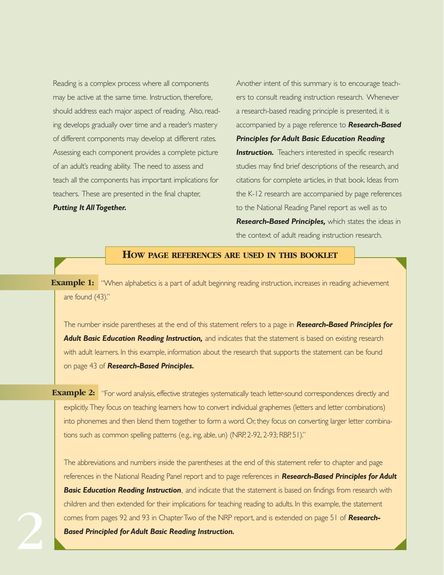Reading is a complex process where all components may be active at the same time. Instruction, therefore, should address each major aspect of reading. Also, reading develops gradually over time and a reader's mastery of different components may develop at different rates. Assessing each component provides a complete picture of an adult's reading ability. The need to assess and teach all the components has important implications for teachers. These are presented in the final chapter,

### *Putting It All Together.*

Another intent of this summary is to encourage teachers to consult reading instruction research. Whenever a research-based reading principle is presented, it is accompanied by a page reference to *Research-Based Principles for Adult Basic Education Reading* **Instruction.** Teachers interested in specific research studies may find brief descriptions of the research, and citations for complete articles, in that book. Ideas from the K-12 research are accompanied by page references to the National Reading Panel report as well as to *Research-Based Principles,* which states the ideas in the context of adult reading instruction research.

### **HOW PAGE REFERENCES ARE USED IN THIS BOOKLET**

**Example 1:** "When alphabetics is a part of adult beginning reading instruction, increases in reading achievement are found (43)."

The number inside parentheses at the end of this statement refers to a page in *Research-Based Principles for Adult Basic Education Reading Instruction,* and indicates that the statement is based on existing research with adult learners. In this example, information about the research that supports the statement can be found on page 43 of *Research-Based Principles.*

**Example 2:** "For word analysis, effective strategies systematically teach letter-sound correspondences directly and explicitly. They focus on teaching learners how to convert individual graphemes (letters and letter combinations) into phonemes and then blend them together to form a word. Or, they focus on converting larger letter combinations such as common spelling patterns (e.g., ing, able, un) (NRP, 2-92, 2-93; RBP, 51)."

The abbreviations and numbers inside the parentheses at the end of this statement refer to chapter and page references in the National Reading Panel report and to page references in *Research-Based Principles for Adult* **Basic Education Reading Instruction**, and indicate that the statement is based on findings from research with children and then extended for their implications for teaching reading to adults. In this example, the statement comes from pages 92 and 93 in Chapter Two of the NRP report, and is extended on page 51 of *Research-Based Principled for Adult Basic Reading Instruction.*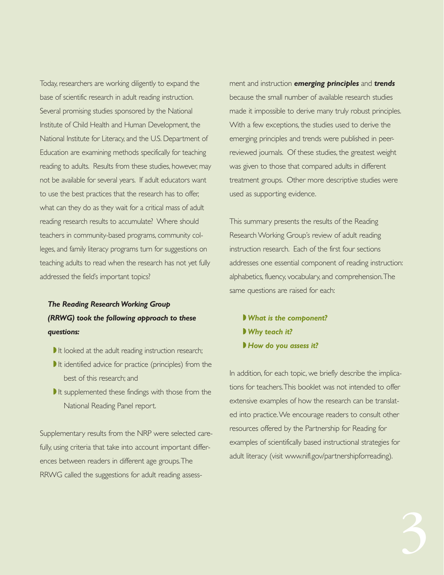Today, researchers are working diligently to expand the base of scientific research in adult reading instruction. Several promising studies sponsored by the National Institute of Child Health and Human Development, the National Institute for Literacy, and the U.S. Department of Education are examining methods specifically for teaching reading to adults. Results from these studies, however, may not be available for several years. If adult educators want to use the best practices that the research has to offer, what can they do as they wait for a critical mass of adult reading research results to accumulate? Where should teachers in community-based programs, community colleges, and family literacy programs turn for suggestions on teaching adults to read when the research has not yet fully addressed the field's important topics?

### *The Reading Research Working Group (RRWG) took the following approach to these questions:*

- It looked at the adult reading instruction research;
- It identified advice for practice (principles) from the best of this research; and
- It supplemented these findings with those from the National Reading Panel report.

Supplementary results from the NRP were selected carefully, using criteria that take into account important differences between readers in different age groups.The RRWG called the suggestions for adult reading assessment and instruction *emerging principles* and *trends* because the small number of available research studies made it impossible to derive many truly robust principles. With a few exceptions, the studies used to derive the emerging principles and trends were published in peerreviewed journals. Of these studies, the greatest weight was given to those that compared adults in different treatment groups. Other more descriptive studies were used as supporting evidence.

This summary presents the results of the Reading Research Working Group's review of adult reading instruction research. Each of the first four sections addresses one essential component of reading instruction: alphabetics, fluency, vocabulary, and comprehension.The same questions are raised for each:

◗ *What is the component?* ◗ *Why teach it?* ◗ *How do you assess it?*

In addition, for each topic, we briefly describe the implications for teachers.This booklet was not intended to offer extensive examples of how the research can be translated into practice.We encourage readers to consult other resources offered by the Partnership for Reading for examples of scientifically based instructional strategies for adult literacy (visit www.nifl.gov/partnershipforreading).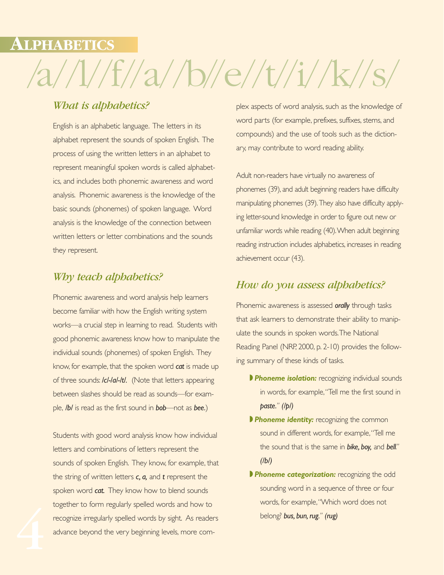### **ALPHABETICS**

# /a//l//f//a//b//e//t//i//k//s/

### *What is alphabetics?*

English is an alphabetic language. The letters in its alphabet represent the sounds of spoken English. The process of using the written letters in an alphabet to represent meaningful spoken words is called alphabetics, and includes both phonemic awareness and word analysis. Phonemic awareness is the knowledge of the basic sounds (phonemes) of spoken language. Word analysis is the knowledge of the connection between written letters or letter combinations and the sounds they represent.

### *Why teach alphabetics?*

Phonemic awareness and word analysis help learners become familiar with how the English writing system works—a crucial step in learning to read. Students with good phonemic awareness know how to manipulate the individual sounds (phonemes) of spoken English. They know, for example, that the spoken word *cat* is made up of three sounds: */c/-/a/-/t/.* (Note that letters appearing between slashes should be read as sounds—for example, */b/* is read as the first sound in *bob*—not as *bee.*)

Students with good word analysis know how individual letters and combinations of letters represent the sounds of spoken English. They know, for example, that the string of written letters *c, a,* and *t* represent the spoken word *cat.* They know how to blend sounds together to form regularly spelled words and how to recognize irregularly spelled words by sight. As readers advance beyond the very beginning levels, more combelong? **bus, bun, rug.**<br>
advance beyond the very beginning levels, more com-<br>
advance beyond the very beginning levels, more com-

plex aspects of word analysis, such as the knowledge of word parts (for example, prefixes, suffixes, stems, and compounds) and the use of tools such as the dictionary, may contribute to word reading ability.

Adult non-readers have virtually no awareness of phonemes (39), and adult beginning readers have difficulty manipulating phonemes (39).They also have difficulty applying letter-sound knowledge in order to figure out new or unfamiliar words while reading (40).When adult beginning reading instruction includes alphabetics, increases in reading achievement occur (43).

### *How do you assess alphabetics?*

Phonemic awareness is assessed *orally* through tasks that ask learners to demonstrate their ability to manipulate the sounds in spoken words.The National Reading Panel (NRP, 2000, p. 2-10) provides the following summary of these kinds of tasks.

- **Phoneme isolation:** recognizing individual sounds in words, for example,"Tell me the first sound in *paste." (/p/)*
- **Phoneme identity:** recognizing the common sound in different words, for example, "Tell me the sound that is the same in *bike, boy,* and *bell." (/b/)*
- ◗ *Phoneme categorization:* recognizing the odd sounding word in a sequence of three or four words, for example,"Which word does not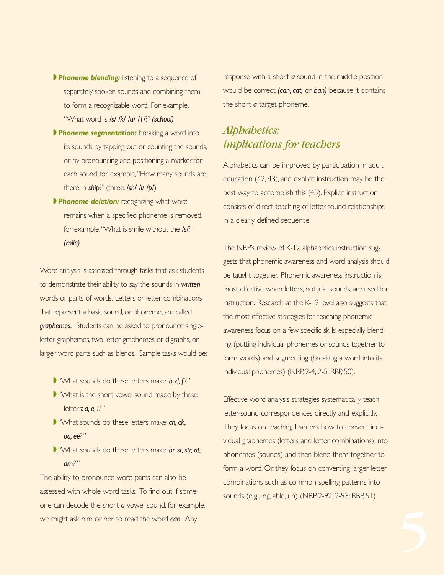- **Phoneme blending:** listening to a sequence of separately spoken sounds and combining them to form a recognizable word. For example, "What word is */s/ /k/ /u/ /1/*?"*(school)*
- **Phoneme segmentation:** breaking a word into its sounds by tapping out or counting the sounds, or by pronouncing and positioning a marker for each sound, for example,"How many sounds are there in *ship*?" (three: */sh/ /i/ /p/*)
- **Phoneme deletion:** recognizing what word remains when a specified phoneme is removed, for example,"What is smile without the */s/*?" *(mile)*

Word analysis is assessed through tasks that ask students to demonstrate their ability to say the sounds in *written* words or parts of words. Letters or letter combinations that represent a basic sound, or phoneme, are called *graphemes.* Students can be asked to pronounce singleletter graphemes, two-letter graphemes or digraphs, or larger word parts such as blends. Sample tasks would be:

- ◗ "What sounds do these letters make: *b, d, f* ?"
- "What is the short vowel sound made by these letters: *a, e, i?*"
- ◗ "What sounds do these letters make:*ch, ck, oa, ee?*"
- ◗ "What sounds do these letters make: *br, st, str, at, am?*"

The ability to pronounce word parts can also be assessed with whole word tasks. To find out if someone can decode the short *a* vowel sound, for example, we might ask him or her to read the word *can*. Any

response with a short *a* sound in the middle position would be correct *(can, cat,* or *ban)* because it contains the short *a* target phoneme.

### *Alphabetics: implications for teachers*

Alphabetics can be improved by participation in adult education (42, 43), and explicit instruction may be the best way to accomplish this (45). Explicit instruction consists of direct teaching of letter-sound relationships in a clearly defined sequence.

The NRP's review of K-12 alphabetics instruction suggests that phonemic awareness and word analysis should be taught together. Phonemic awareness instruction is most effective when letters, not just sounds, are used for instruction. Research at the K-12 level also suggests that the most effective strategies for teaching phonemic awareness focus on a few specific skills, especially blending (putting individual phonemes or sounds together to form words) and segmenting (breaking a word into its individual phonemes) (NRP, 2-4, 2-5; RBP, 50).

Effective word analysis strategies systematically teach letter-sound correspondences directly and explicitly. They focus on teaching learners how to convert individual graphemes (letters and letter combinations) into phonemes (sounds) and then blend them together to form a word. Or, they focus on converting larger letter combinations such as common spelling patterns into sounds (e.g., ing, able, un) (NRP, 2-92, 2-93; RBP, 51).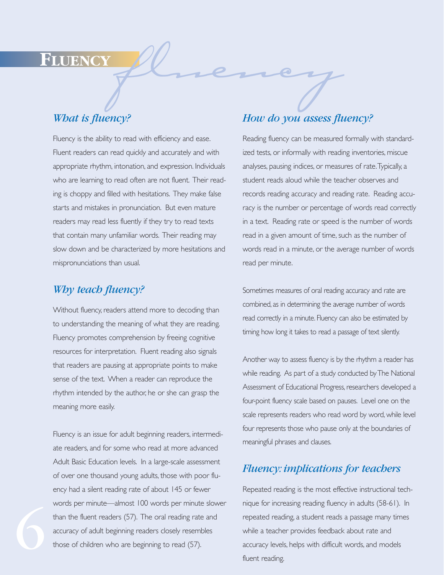# FLUENCY *Interneur*fluence

### *What is fluency?*

Fluency is the ability to read with efficiency and ease. Fluent readers can read quickly and accurately and with appropriate rhythm, intonation, and expression. Individuals who are learning to read often are not fluent. Their reading is choppy and filled with hesitations. They make false starts and mistakes in pronunciation. But even mature readers may read less fluently if they try to read texts that contain many unfamiliar words. Their reading may slow down and be characterized by more hesitations and mispronunciations than usual.

### *Why teach fluency?*

Without fluency, readers attend more to decoding than to understanding the meaning of what they are reading. Fluency promotes comprehension by freeing cognitive resources for interpretation. Fluent reading also signals that readers are pausing at appropriate points to make sense of the text. When a reader can reproduce the rhythm intended by the author, he or she can grasp the meaning more easily.

Fluency is an issue for adult beginning readers, intermediate readers, and for some who read at more advanced Adult Basic Education levels. In a large-scale assessment of over one thousand young adults, those with poor fluency had a silent reading rate of about 145 or fewer words per minute—almost 100 words per minute slower than the fluent readers (57). The oral reading rate and accuracy of adult beginning readers closely resembles those of children who are beginning to read (57).

### *How do you assess fluency?*

Reading fluency can be measured formally with standardized tests, or informally with reading inventories, miscue analyses, pausing indices, or measures of rate.Typically, a student reads aloud while the teacher observes and records reading accuracy and reading rate. Reading accuracy is the number or percentage of words read correctly in a text. Reading rate or speed is the number of words read in a given amount of time, such as the number of words read in a minute, or the average number of words read per minute.

Sometimes measures of oral reading accuracy and rate are combined, as in determining the average number of words read correctly in a minute. Fluency can also be estimated by timing how long it takes to read a passage of text silently.

Another way to assess fluency is by the rhythm a reader has while reading. As part of a study conducted by The National Assessment of Educational Progress, researchers developed a four-point fluency scale based on pauses. Level one on the scale represents readers who read word by word, while level four represents those who pause only at the boundaries of meaningful phrases and clauses.

### *Fluency: implications for teachers*

Repeated reading is the most effective instructional technique for increasing reading fluency in adults (58-61). In repeated reading, a student reads a passage many times while a teacher provides feedback about rate and accuracy levels, helps with difficult words, and models fluent reading.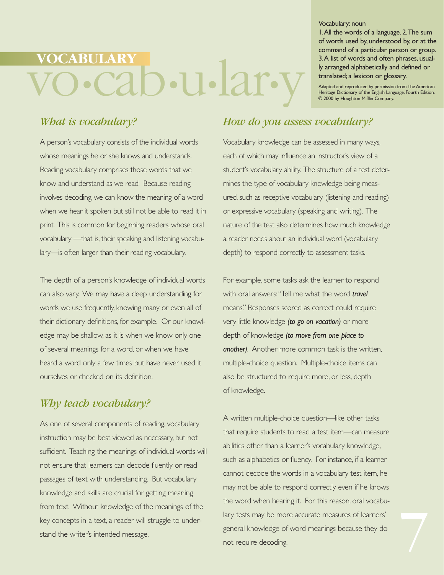### MOCABULARY<br>
WOCABULARY<br>
WARE SIGN OF SALE OF SALE OF SALE OF SALE OF SALE OF SALE OF SALE OF SALE OF SALE OF SALE OF SALE OF SALE OF SALE OF SALE OF SALE OF SALE OF SALE OF SALE OF SALE OF SALE OF SALE OF SALE OF SALE OF S **VOCABULARY**

### Vocabulary: noun

1.All the words of a language. 2.The sum of words used by, understood by, or at the command of a particular person or group. 3.A list of words and often phrases, usually arranged alphabetically and defined or translated; a lexicon or glossary.

Adapted and reproduced by permission from The American © 2000 by Houghton Mifflin Company.

### *What is vocabulary?*

A person's vocabulary consists of the individual words whose meanings he or she knows and understands. Reading vocabulary comprises those words that we know and understand as we read. Because reading involves decoding, we can know the meaning of a word when we hear it spoken but still not be able to read it in print. This is common for beginning readers, whose oral vocabulary —that is, their speaking and listening vocabulary—is often larger than their reading vocabulary.

The depth of a person's knowledge of individual words can also vary. We may have a deep understanding for words we use frequently, knowing many or even all of their dictionary definitions, for example. Or our knowledge may be shallow, as it is when we know only one of several meanings for a word, or when we have heard a word only a few times but have never used it ourselves or checked on its definition.

### *Why teach vocabulary?*

As one of several components of reading, vocabulary instruction may be best viewed as necessary, but not sufficient. Teaching the meanings of individual words will not ensure that learners can decode fluently or read passages of text with understanding. But vocabulary knowledge and skills are crucial for getting meaning from text. Without knowledge of the meanings of the key concepts in a text, a reader will struggle to understand the writer's intended message.

### *How do you assess vocabulary?*

Vocabulary knowledge can be assessed in many ways, each of which may influence an instructor's view of a student's vocabulary ability. The structure of a test determines the type of vocabulary knowledge being measured, such as receptive vocabulary (listening and reading) or expressive vocabulary (speaking and writing). The nature of the test also determines how much knowledge a reader needs about an individual word (vocabulary depth) to respond correctly to assessment tasks.

For example, some tasks ask the learner to respond with oral answers:"Tell me what the word *travel* means." Responses scored as correct could require very little knowledge *(to go on vacation)* or more depth of knowledge *(to move from one place to another)*. Another more common task is the written, multiple-choice question. Multiple-choice items can also be structured to require more, or less, depth of knowledge.

A written multiple-choice question—like other tasks that require students to read a test item—can measure abilities other than a learner's vocabulary knowledge, such as alphabetics or fluency. For instance, if a learner cannot decode the words in a vocabulary test item, he may not be able to respond correctly even if he knows the word when hearing it. For this reason, oral vocabulary tests may be more accurate measures of learners'<br>general knowledge of word meanings because they do<br>not require decoding. general knowledge of word meanings because they do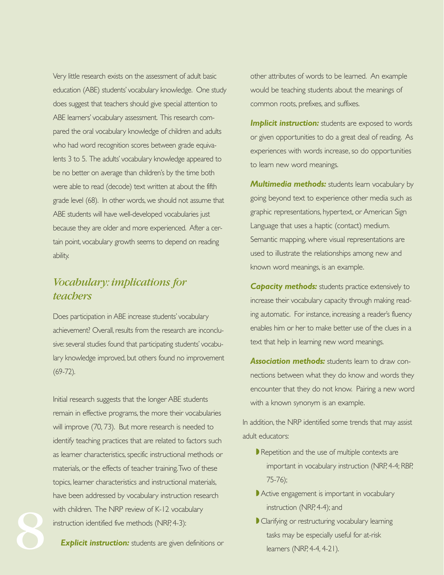Very little research exists on the assessment of adult basic education (ABE) students' vocabulary knowledge. One study does suggest that teachers should give special attention to ABE learners' vocabulary assessment. This research compared the oral vocabulary knowledge of children and adults who had word recognition scores between grade equivalents 3 to 5. The adults' vocabulary knowledge appeared to be no better on average than children's by the time both were able to read (decode) text written at about the fifth grade level (68). In other words, we should not assume that ABE students will have well-developed vocabularies just because they are older and more experienced. After a certain point, vocabulary growth seems to depend on reading ability.

### *Vocabulary: implications for teachers*

Does participation in ABE increase students' vocabulary achievement? Overall, results from the research are inconclusive: several studies found that participating students' vocabulary knowledge improved, but others found no improvement (69-72).

Initial research suggests that the longer ABE students remain in effective programs, the more their vocabularies will improve (70, 73). But more research is needed to identify teaching practices that are related to factors such as learner characteristics, specific instructional methods or materials, or the effects of teacher training.Two of these topics, learner characteristics and instructional materials, have been addressed by vocabulary instruction research with children. The NRP review of K-12 vocabulary instruction identified five methods (NRP, 4-3):

other attributes of words to be learned. An example would be teaching students about the meanings of common roots, prefixes, and suffixes.

**Implicit instruction:** students are exposed to words or given opportunities to do a great deal of reading. As experiences with words increase, so do opportunities to learn new word meanings.

**Multimedia methods:** students learn vocabulary by going beyond text to experience other media such as graphic representations, hypertext, or American Sign Language that uses a haptic (contact) medium. Semantic mapping, where visual representations are used to illustrate the relationships among new and known word meanings, is an example.

**Capacity methods:** students practice extensively to increase their vocabulary capacity through making reading automatic. For instance, increasing a reader's fluency enables him or her to make better use of the clues in a text that help in learning new word meanings.

*Association methods:* students learn to draw connections between what they do know and words they encounter that they do not know. Pairing a new word with a known synonym is an example.

In addition, the NRP identified some trends that may assist adult educators:

- Repetition and the use of multiple contexts are important in vocabulary instruction (NRP, 4-4; RBP, 75-76);
- Active engagement is important in vocabulary instruction (NRP, 4-4); and
- Clarifying or restructuring vocabulary learning with children. The NRP review of K-12 vocabulary<br>instruction (NRP, 4-4); and<br>instruction identified five methods (NRP, 4-3):<br>**Explicit instruction:** students are given definitions or<br>learners (NRP, 4-4, 4-21).

**Explicit instruction:** students are given definitions or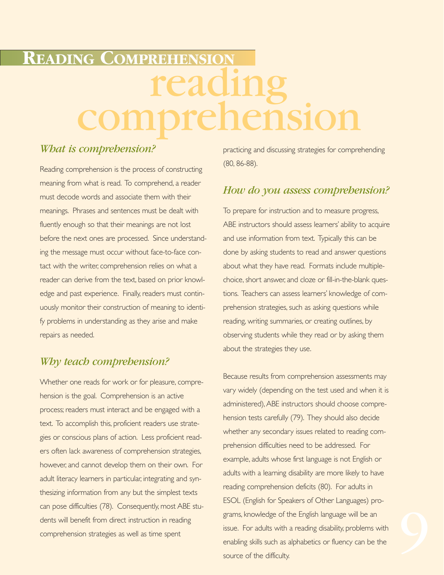# **READING COMPREHENSION** reading<br>comprehension

### *What is comprehension?*

Reading comprehension is the process of constructing meaning from what is read. To comprehend, a reader must decode words and associate them with their meanings. Phrases and sentences must be dealt with fluently enough so that their meanings are not lost before the next ones are processed. Since understanding the message must occur without face-to-face contact with the writer, comprehension relies on what a reader can derive from the text, based on prior knowledge and past experience. Finally, readers must continuously monitor their construction of meaning to identify problems in understanding as they arise and make repairs as needed.

### *Why teach comprehension?*

Whether one reads for work or for pleasure, comprehension is the goal. Comprehension is an active process; readers must interact and be engaged with a text. To accomplish this, proficient readers use strategies or conscious plans of action. Less proficient readers often lack awareness of comprehension strategies, however, and cannot develop them on their own. For adult literacy learners in particular, integrating and synthesizing information from any but the simplest texts can pose difficulties (78). Consequently, most ABE students will benefit from direct instruction in reading comprehension strategies as well as time spent

practicing and discussing strategies for comprehending (80, 86-88).

### *How do you assess comprehension?*

To prepare for instruction and to measure progress, ABE instructors should assess learners' ability to acquire and use information from text. Typically this can be done by asking students to read and answer questions about what they have read. Formats include multiplechoice, short answer, and cloze or fill-in-the-blank questions. Teachers can assess learners' knowledge of comprehension strategies, such as asking questions while reading, writing summaries, or creating outlines, by observing students while they read or by asking them about the strategies they use.

Because results from comprehension assessments may vary widely (depending on the test used and when it is administered),ABE instructors should choose comprehension tests carefully (79). They should also decide whether any secondary issues related to reading comprehension difficulties need to be addressed. For example, adults whose first language is not English or adults with a learning disability are more likely to have reading comprehension deficits (80). For adults in ESOL (English for Speakers of Other Languages) programs, knowledge of the English language will be an issue. For adults with a reading disability, problems with enabling skills such as alphabetics or fluency can be the source of the difficulty.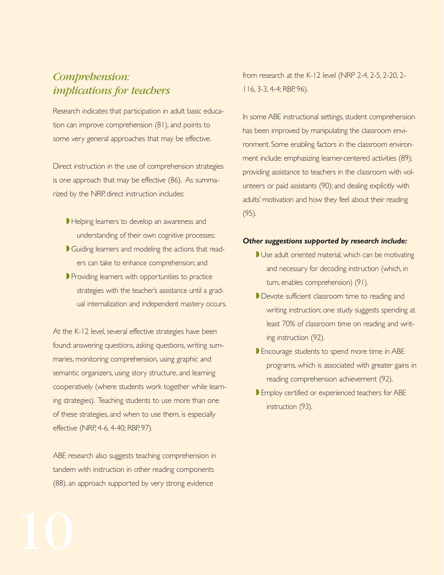### *Comprehension: implications for teachers*

Research indicates that participation in adult basic education can improve comprehension (81), and points to some very general approaches that may be effective.

Direct instruction in the use of comprehension strategies is one approach that may be effective (86). As summarized by the NRP, direct instruction includes:

- Helping learners to develop an awareness and understanding of their own cognitive processes;
- Guiding learners and modeling the actions that readers can take to enhance comprehension; and
- ▶ Providing learners with opportunities to practice strategies with the teacher's assistance until a gradual internalization and independent mastery occurs.

At the K-12 level, several effective strategies have been found: answering questions, asking questions, writing summaries, monitoring comprehension, using graphic and semantic organizers, using story structure, and learning cooperatively (where students work together while learning strategies). Teaching students to use more than one of these strategies, and when to use them, is especially effective (NRP, 4-6, 4-40; RBP, 97).

ABE research also suggests teaching comprehension in tandem with instruction in other reading components (88), an approach supported by very strong evidence

from research at the K-12 level (NRP 2-4, 2-5, 2-20, 2- 116, 3-3, 4-4; RBP, 96).

In some ABE instructional settings, student comprehension has been improved by manipulating the classroom environment. Some enabling factors in the classroom environment include: emphasizing learner-centered activities (89); providing assistance to teachers in the classroom with volunteers or paid assistants (90); and dealing explicitly with adults' motivation and how they feel about their reading (95).

### *Other suggestions supported by research include:*

- Use adult oriented material, which can be motivating and necessary for decoding instruction (which, in turn, enables comprehension) (91).
- Devote sufficient classroom time to reading and writing instruction; one study suggests spending at least 70% of classroom time on reading and writing instruction (92).
- ▶ Encourage students to spend more time in ABE programs, which is associated with greater gains in reading comprehension achievement (92).
- Employ certified or experienced teachers for ABE instruction (93).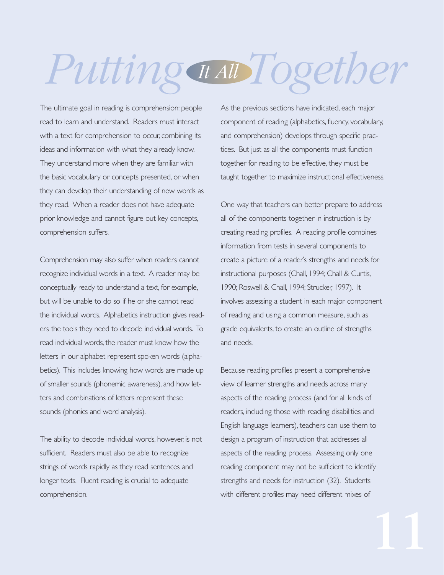# $Puting$ *IIIIII* Together

The ultimate goal in reading is comprehension: people read to learn and understand. Readers must interact with a text for comprehension to occur, combining its ideas and information with what they already know. They understand more when they are familiar with the basic vocabulary or concepts presented, or when they can develop their understanding of new words as they read. When a reader does not have adequate prior knowledge and cannot figure out key concepts, comprehension suffers.

Comprehension may also suffer when readers cannot recognize individual words in a text. A reader may be conceptually ready to understand a text, for example, but will be unable to do so if he or she cannot read the individual words. Alphabetics instruction gives readers the tools they need to decode individual words. To read individual words, the reader must know how the letters in our alphabet represent spoken words (alphabetics). This includes knowing how words are made up of smaller sounds (phonemic awareness), and how letters and combinations of letters represent these sounds (phonics and word analysis).

The ability to decode individual words, however, is not sufficient. Readers must also be able to recognize strings of words rapidly as they read sentences and longer texts. Fluent reading is crucial to adequate comprehension.

As the previous sections have indicated, each major component of reading (alphabetics, fluency, vocabulary, and comprehension) develops through specific practices. But just as all the components must function together for reading to be effective, they must be taught together to maximize instructional effectiveness.

One way that teachers can better prepare to address all of the components together in instruction is by creating reading profiles. A reading profile combines information from tests in several components to create a picture of a reader's strengths and needs for instructional purposes (Chall, 1994; Chall & Curtis, 1990; Roswell & Chall, 1994; Strucker, 1997). It involves assessing a student in each major component of reading and using a common measure, such as grade equivalents, to create an outline of strengths and needs.

Because reading profiles present a comprehensive view of learner strengths and needs across many aspects of the reading process (and for all kinds of readers, including those with reading disabilities and English language learners), teachers can use them to design a program of instruction that addresses all aspects of the reading process. Assessing only one reading component may not be sufficient to identify strengths and needs for instruction (32). Students with different profiles may need different mixes of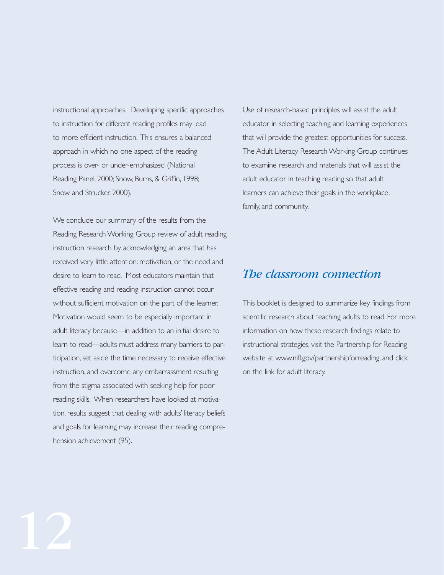instructional approaches. Developing specific approaches to instruction for different reading profiles may lead to more efficient instruction. This ensures a balanced approach in which no one aspect of the reading process is over- or under-emphasized (National Reading Panel, 2000; Snow, Burns, & Griffin, 1998; Snow and Strucker, 2000).

We conclude our summary of the results from the Reading Research Working Group review of adult reading instruction research by acknowledging an area that has received very little attention: motivation, or the need and desire to learn to read. Most educators maintain that effective reading and reading instruction cannot occur without sufficient motivation on the part of the learner. Motivation would seem to be especially important in adult literacy because—in addition to an initial desire to learn to read—adults must address many barriers to participation, set aside the time necessary to receive effective instruction, and overcome any embarrassment resulting from the stigma associated with seeking help for poor reading skills. When researchers have looked at motivation, results suggest that dealing with adults' literacy beliefs and goals for learning may increase their reading comprehension achievement (95).

Use of research-based principles will assist the adult educator in selecting teaching and learning experiences that will provide the greatest opportunities for success. The Adult Literacy Research Working Group continues to examine research and materials that will assist the adult educator in teaching reading so that adult learners can achieve their goals in the workplace, family, and community.

### *The classroom connection*

This booklet is designed to summarize key findings from scientific research about teaching adults to read. For more information on how these research findings relate to instructional strategies, visit the Partnership for Reading website at www.nifl.gov/partnershipforreading, and click on the link for adult literacy.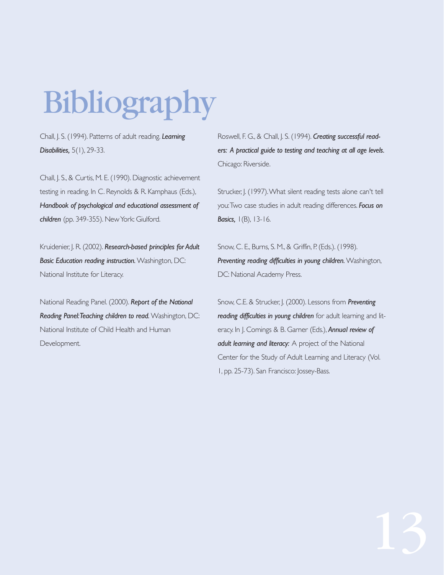## Bibliography

Chall, J. S. (1994). Patterns of adult reading. *Learning Disabilities,* 5(1), 29-33.

Chall, J. S., & Curtis, M. E. (1990). Diagnostic achievement testing in reading. In C. Reynolds & R. Kamphaus (Eds.), *Handbook of psychological and educational assessment of children* (pp. 349-355). New York: Giulford.

Kruidenier, J. R. (2002). *Research-based principles for Adult Basic Education reading instruction.*Washington, DC: National Institute for Literacy.

National Reading Panel. (2000). *Report of the National Reading Panel:Teaching children to read.*Washington, DC: National Institute of Child Health and Human Development.

Roswell, F. G., & Chall, J. S. (1994). *Creating successful readers: A practical guide to testing and teaching at all age levels.* Chicago: Riverside.

Strucker, J. (1997). What silent reading tests alone can't tell you:Two case studies in adult reading differences. *Focus on Basics,* 1(B), 13-16.

Snow, C. E., Burns, S. M., & Griffin, P. (Eds.). (1998). *Preventing reading difficulties in young children.*Washington, DC: National Academy Press.

Snow, C.E. & Strucker, J. (2000). Lessons from *Preventing reading difficulties in young children* for adult learning and literacy. In J. Comings & B. Garner (Eds.), *Annual review of adult learning and literacy:* A project of the National Center for the Study of Adult Learning and Literacy (Vol. 1, pp. 25-73). San Francisco: Jossey-Bass.